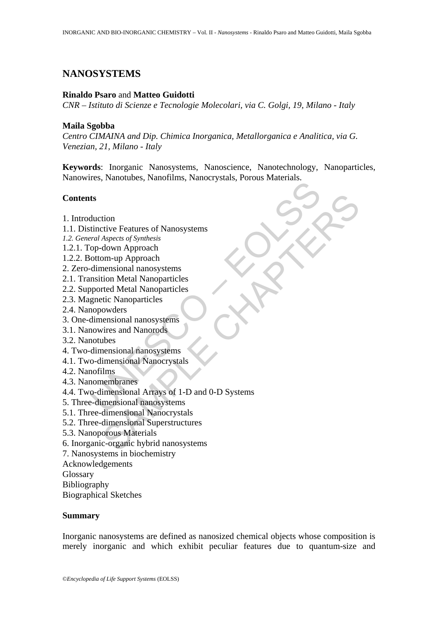# **NANOSYSTEMS**

### **Rinaldo Psaro** and **Matteo Guidotti**

*CNR – Istituto di Scienze e Tecnologie Molecolari, via C. Golgi, 19, Milano - Italy* 

## **Maila Sgobba**

*Centro CIMAINA and Dip. Chimica Inorganica, Metallorganica e Analitica, via G. Venezian, 21, Milano - Italy* 

**Keywords**: Inorganic Nanosystems, Nanoscience, Nanotechnology, Nanoparticles, Nanowires, Nanotubes, Nanofilms, Nanocrystals, Porous Materials.

# **Contents**

- 1. Introduction
- 1.1. Distinctive Features of Nanosystems
- *1.2. General Aspects of Synthesis*
- 1.2.1. Top-down Approach
- 1.2.2. Bottom-up Approach
- 2. Zero-dimensional nanosystems
- 2.1. Transition Metal Nanoparticles
- 2.2. Supported Metal Nanoparticles
- 2.3. Magnetic Nanoparticles
- 2.4. Nanopowders
- 3. One-dimensional nanosystems
- 3.1. Nanowires and Nanorods
- 3.2. Nanotubes
- 4. Two-dimensional nanosystems
- 4.1. Two-dimensional Nanocrystals
- 4.2. Nanofilms
- 4.3. Nanomembranes
- Examples and Management of Nanosystems<br>
and Aspects of Synthesis<br>
rad Aspects of Synthesis<br>
op-down Approach<br>
ottom-up Approach<br>
ottom-up Approach<br>
dimensional nanosystems<br>
sustition Metal Nanoparticles<br>
gnetic Nanoparticl tion<br>
tive Features of Nanosystems<br>
Aspects of Synthesis<br>
down Approach<br>
mem-up Approach<br>
mem-sional nanosystems<br>
tich Manoparticles<br>
retic Manoparticles<br>
retic Manoparticles<br>
worders<br>
worders<br>
worders<br>
worders<br>
memsional 4.4. Two-dimensional Arrays of 1-D and 0-D Systems
- 5. Three-dimensional nanosystems
- 5.1. Three-dimensional Nanocrystals
- 5.2. Three-dimensional Superstructures
- 5.3. Nanoporous Materials
- 6. Inorganic-organic hybrid nanosystems
- 7. Nanosystems in biochemistry
- Acknowledgements
- Glossary
- Bibliography

Biographical Sketches

## **Summary**

Inorganic nanosystems are defined as nanosized chemical objects whose composition is merely inorganic and which exhibit peculiar features due to quantum-size and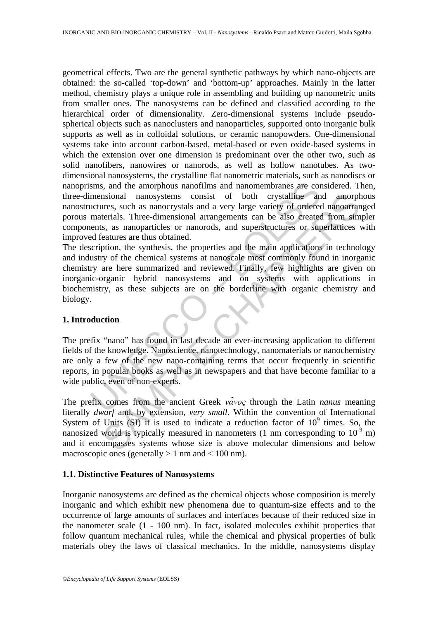sms, and the amorphous nanofilms and nanomembranes are cor<br>mensional nanosystems consist of both crystalline an<br>uctures, such as nanocrystals and a very large variety of orderect<br>materials. Three-dimensional arrangements geometrical effects. Two are the general synthetic pathways by which nano-objects are obtained: the so-called 'top-down' and 'bottom-up' approaches. Mainly in the latter method, chemistry plays a unique role in assembling and building up nanometric units from smaller ones. The nanosystems can be defined and classified according to the hierarchical order of dimensionality. Zero-dimensional systems include pseudospherical objects such as nanoclusters and nanoparticles, supported onto inorganic bulk supports as well as in colloidal solutions, or ceramic nanopowders. One-dimensional systems take into account carbon-based, metal-based or even oxide-based systems in which the extension over one dimension is predominant over the other two, such as solid nanofibers, nanowires or nanorods, as well as hollow nanotubes. As twodimensional nanosystems, the crystalline flat nanometric materials, such as nanodiscs or nanoprisms, and the amorphous nanofilms and nanomembranes are considered. Then, three-dimensional nanosystems consist of both crystalline and amorphous nanostructures, such as nanocrystals and a very large variety of ordered nanoarranged porous materials. Three-dimensional arrangements can be also created from simpler components, as nanoparticles or nanorods, and superstructures or superlattices with improved features are thus obtained.

moindled analysystems consist of both crystalline and amorph<br>terials. Three-dimensional arrangements can be also created manorary<br>terials. Three-dimensional arrangements can be also created from sim<br>s, as nanoparticles or The description, the synthesis, the properties and the main applications in technology and industry of the chemical systems at nanoscale most commonly found in inorganic chemistry are here summarized and reviewed. Finally, few highlights are given on inorganic-organic hybrid nanosystems and on systems with applications in biochemistry, as these subjects are on the borderline with organic chemistry and biology.

## **1. Introduction**

The prefix "nano" has found in last decade an ever-increasing application to different fields of the knowledge. Nanoscience, nanotechnology, nanomaterials or nanochemistry are only a few of the new nano-containing terms that occur frequently in scientific reports, in popular books as well as in newspapers and that have become familiar to a wide public, even of non-experts.

The prefix comes from the ancient Greek *να̃νος* through the Latin *nanus* meaning literally *dwarf* and, by extension, *very small*. Within the convention of International System of Units (SI) it is used to indicate a reduction factor of  $10<sup>9</sup>$  times. So, the nanosized world is typically measured in nanometers (1 nm corresponding to  $10^{-9}$  m) and it encompasses systems whose size is above molecular dimensions and below macroscopic ones (generally  $> 1$  nm and  $< 100$  nm).

# **1.1. Distinctive Features of Nanosystems**

Inorganic nanosystems are defined as the chemical objects whose composition is merely inorganic and which exhibit new phenomena due to quantum-size effects and to the occurrence of large amounts of surfaces and interfaces because of their reduced size in the nanometer scale (1 - 100 nm). In fact, isolated molecules exhibit properties that follow quantum mechanical rules, while the chemical and physical properties of bulk materials obey the laws of classical mechanics. In the middle, nanosystems display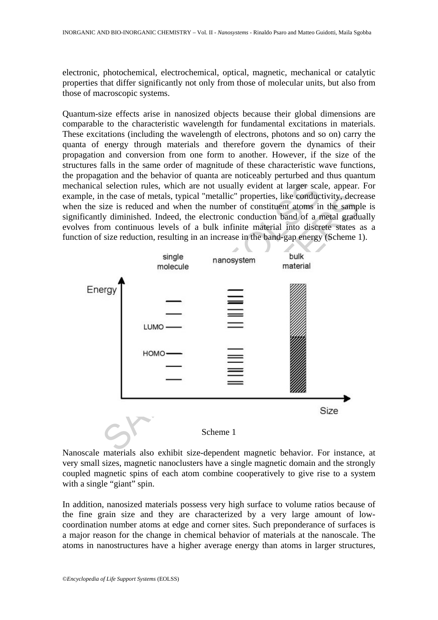electronic, photochemical, electrochemical, optical, magnetic, mechanical or catalytic properties that differ significantly not only from those of molecular units, but also from those of macroscopic systems.

Quantum-size effects arise in nanosized objects because their global dimensions are comparable to the characteristic wavelength for fundamental excitations in materials. These excitations (including the wavelength of electrons, photons and so on) carry the quanta of energy through materials and therefore govern the dynamics of their propagation and conversion from one form to another. However, if the size of the structures falls in the same order of magnitude of these characteristic wave functions, the propagation and the behavior of quanta are noticeably perturbed and thus quantum mechanical selection rules, which are not usually evident at larger scale, appear. For example, in the case of metals, typical "metallic" properties, like conductivity, decrease when the size is reduced and when the number of constituent atoms in the sample is significantly diminished. Indeed, the electronic conduction band of a metal gradually evolves from continuous levels of a bulk infinite material into discrete states as a function of size reduction, resulting in an increase in the band-gap energy (Scheme 1).



Nanoscale materials also exhibit size-dependent magnetic behavior. For instance, at very small sizes, magnetic nanoclusters have a single magnetic domain and the strongly coupled magnetic spins of each atom combine cooperatively to give rise to a system with a single "giant" spin.

In addition, nanosized materials possess very high surface to volume ratios because of the fine grain size and they are characterized by a very large amount of lowcoordination number atoms at edge and corner sites. Such preponderance of surfaces is a major reason for the change in chemical behavior of materials at the nanoscale. The atoms in nanostructures have a higher average energy than atoms in larger structures,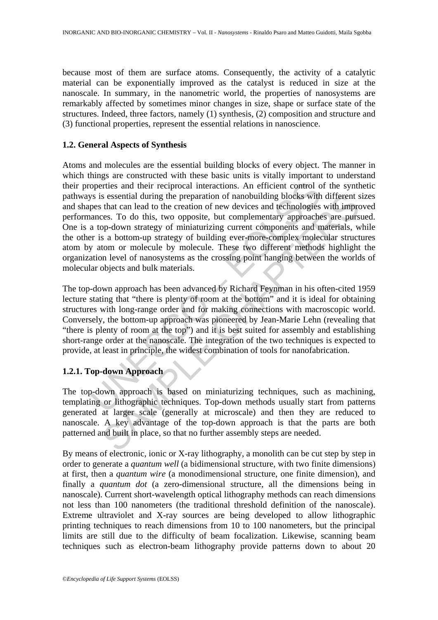because most of them are surface atoms. Consequently, the activity of a catalytic material can be exponentially improved as the catalyst is reduced in size at the nanoscale. In summary, in the nanometric world, the properties of nanosystems are remarkably affected by sometimes minor changes in size, shape or surface state of the structures. Indeed, three factors, namely (1) synthesis, (2) composition and structure and (3) functional properties, represent the essential relations in nanoscience.

# **1.2. General Aspects of Synthesis**

operties and their reciprocal interactions. An efficient control of si s essential during the preparation of nanobuilding blocks with<br>pes that can lead to the creation of new devices and technologies<br>ances. To do this, two is essential during the preparation of nanobuilding blocks with different that can lead to the creation of new devices and technologies with improvades are purses. To do this, two opposite, but complementary approaches are Atoms and molecules are the essential building blocks of every object. The manner in which things are constructed with these basic units is vitally important to understand their properties and their reciprocal interactions. An efficient control of the synthetic pathways is essential during the preparation of nanobuilding blocks with different sizes and shapes that can lead to the creation of new devices and technologies with improved performances. To do this, two opposite, but complementary approaches are pursued. One is a top-down strategy of miniaturizing current components and materials, while the other is a bottom-up strategy of building ever-more-complex molecular structures atom by atom or molecule by molecule. These two different methods highlight the organization level of nanosystems as the crossing point hanging between the worlds of molecular objects and bulk materials.

The top-down approach has been advanced by Richard Feynman in his often-cited 1959 lecture stating that "there is plenty of room at the bottom" and it is ideal for obtaining structures with long-range order and for making connections with macroscopic world. Conversely, the bottom-up approach was pioneered by Jean-Marie Lehn (revealing that "there is plenty of room at the top") and it is best suited for assembly and establishing short-range order at the nanoscale. The integration of the two techniques is expected to provide, at least in principle, the widest combination of tools for nanofabrication.

# **1.2.1. Top-down Approach**

The top-down approach is based on miniaturizing techniques, such as machining, templating or lithographic techniques. Top-down methods usually start from patterns generated at larger scale (generally at microscale) and then they are reduced to nanoscale. A key advantage of the top-down approach is that the parts are both patterned and built in place, so that no further assembly steps are needed.

By means of electronic, ionic or X-ray lithography, a monolith can be cut step by step in order to generate a *quantum well* (a bidimensional structure, with two finite dimensions) at first, then a *quantum wire* (a monodimensional structure, one finite dimension), and finally a *quantum dot* (a zero-dimensional structure, all the dimensions being in nanoscale). Current short-wavelength optical lithography methods can reach dimensions not less than 100 nanometers (the traditional threshold definition of the nanoscale). Extreme ultraviolet and X-ray sources are being developed to allow lithographic printing techniques to reach dimensions from 10 to 100 nanometers, but the principal limits are still due to the difficulty of beam focalization. Likewise, scanning beam techniques such as electron-beam lithography provide patterns down to about 20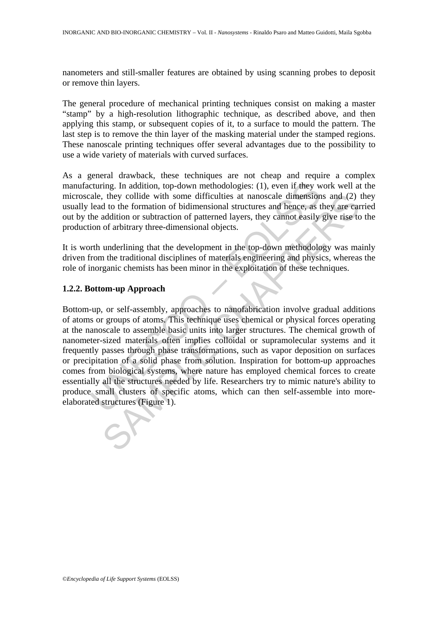nanometers and still-smaller features are obtained by using scanning probes to deposit or remove thin layers.

The general procedure of mechanical printing techniques consist on making a master "stamp" by a high-resolution lithographic technique, as described above, and then applying this stamp, or subsequent copies of it, to a surface to mould the pattern. The last step is to remove the thin layer of the masking material under the stamped regions. These nanoscale printing techniques offer several advantages due to the possibility to use a wide variety of materials with curved surfaces.

As a general drawback, these techniques are not cheap and require a complex manufacturing. In addition, top-down methodologies: (1), even if they work well at the microscale, they collide with some difficulties at nanoscale dimensions and (2) they usually lead to the formation of bidimensional structures and hence, as they are carried out by the addition or subtraction of patterned layers, they cannot easily give rise to the production of arbitrary three-dimensional objects.

It is worth underlining that the development in the top-down methodology was mainly driven from the traditional disciplines of materials engineering and physics, whereas the role of inorganic chemists has been minor in the exploitation of these techniques.

### **1.2.2. Bottom-up Approach**

cturing. In addition, top-down methodologies: (1), even if they wale, they collide with some difficulties at nanoscale dimension lead to the formation of bidimensional structures and hence, as the addition or subtraction o (a) they collide with some difficulties at nanoscale dimensions and (2)<br>at to the formation of bidimensional structures and hence, as they are can<br>addition or subtraction of patterned layers, they cannot easily give rise t Bottom-up, or self-assembly, approaches to nanofabrication involve gradual additions of atoms or groups of atoms. This technique uses chemical or physical forces operating at the nanoscale to assemble basic units into larger structures. The chemical growth of nanometer-sized materials often implies colloidal or supramolecular systems and it frequently passes through phase transformations, such as vapor deposition on surfaces or precipitation of a solid phase from solution. Inspiration for bottom-up approaches comes from biological systems, where nature has employed chemical forces to create essentially all the structures needed by life. Researchers try to mimic nature's ability to produce small clusters of specific atoms, which can then self-assemble into moreelaborated structures (Figure 1).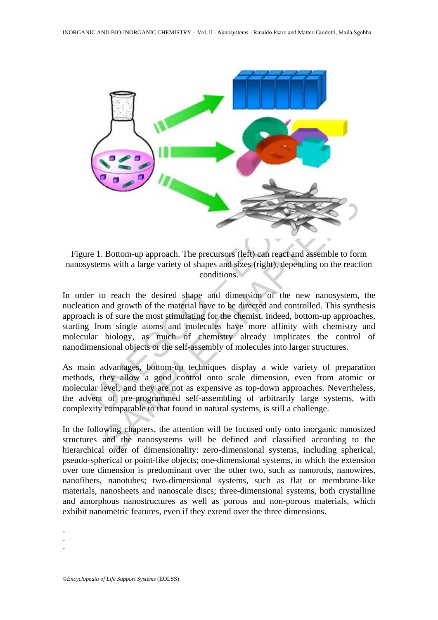

Figure 1. Bottom-up approach. The precursors (left) can react and assemble to form nanosystems with a large variety of shapes and sizes (right), depending on the reaction conditions.

Bottom-up approach. The precursors (left) can react and assemble to forms with a large variety of shapes and sizes (right), depending on the react<br>conditions.<br>
Correct conditions.<br>
Correct conditions.<br>
Correct conditions.<br> In order to reach the desired shape and dimension of the new nanosystem, the nucleation and growth of the material have to be directed and controlled. This synthesis approach is of sure the most stimulating for the chemist. Indeed, bottom-up approaches, starting from single atoms and molecules have more affinity with chemistry and molecular biology, as much of chemistry already implicates the control of nanodimensional objects or the self-assembly of molecules into larger structures.

As main advantages, bottom-up techniques display a wide variety of preparation methods, they allow a good control onto scale dimension, even from atomic or molecular level, and they are not as expensive as top-down approaches. Nevertheless, the advent of pre-programmed self-assembling of arbitrarily large systems, with complexity comparable to that found in natural systems, is still a challenge.

In the following chapters, the attention will be focused only onto inorganic nanosized structures and the nanosystems will be defined and classified according to the hierarchical order of dimensionality: zero-dimensional systems, including spherical, pseudo-spherical or point-like objects; one-dimensional systems, in which the extension over one dimension is predominant over the other two, such as nanorods, nanowires, nanofibers, nanotubes; two-dimensional systems, such as flat or membrane-like materials, nanosheets and nanoscale discs; three-dimensional systems, both crystalline and amorphous nanostructures as well as porous and non-porous materials, which exhibit nanometric features, even if they extend over the three dimensions.

-

- -

©*Encyclopedia of Life Support Systems* (EOLSS)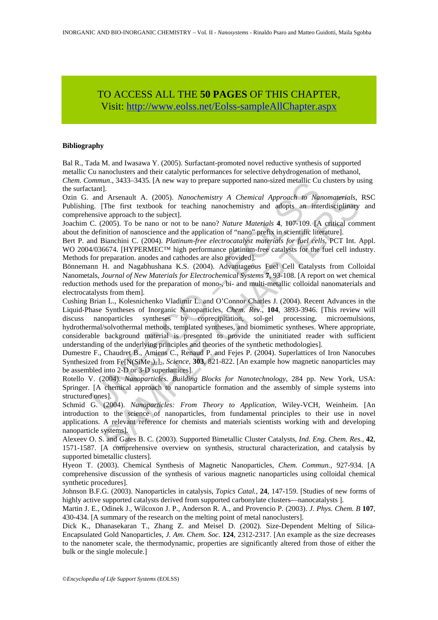# TO ACCESS ALL THE **50 PAGES** OF THIS CHAPTER, Visit[: http://www.eolss.net/Eolss-sampleAllChapter.aspx](https://www.eolss.net/ebooklib/sc_cart.aspx?File=E6-100-14-00)

#### **Bibliography**

Bal R., Tada M. and Iwasawa Y. (2005). Surfactant-promoted novel reductive synthesis of supported metallic Cu nanoclusters and their catalytic performances for selective dehydrogenation of methanol, *Chem. Commun*., 3433–3435. [A new way to prepare supported nano-sized metallic Cu clusters by using the surfactant].

Ozin G. and Arsenault A. (2005). *Nanochemistry A Chemical Approach to Nanomaterials*, RSC Publishing. [The first textbook for teaching nanochemistry and adopts an interdisciplinary and comprehensive approach to the subject].

Joachim C. (2005). To be nano or not to be nano? *Nature Materials* **4**, 107-109. [A critical comment about the definition of nanoscience and the application of "nano" prefix in scientific literature].

Bert P. and Bianchini C. (2004). *Platinum-free electrocatalyst materials for fuel cells*, PCT Int. Appl. WO 2004/036674. [HYPERMEC™ high performance platinum-free catalysts for the fuel cell industry. Methods for preparation. anodes and cathodes are also provided].

Bönnemann H. and Nagabhushana K.S. (2004). Advantageous Fuel Cell Catalysts from Colloidal Nanometals, *Journal of New Materials for Electrochemical Systems* **7**, 93-108. [A report on wet chemical reduction methods used for the preparation of mono-, bi- and multi-metallic colloidal nanomaterials and electrocatalysts from them].

*mmun.*, 3433-3435. [A new way to prepare suppored nano-sized metalnet Cummun., 3433-3435. [A new way to prepare suppored nano-sized metalnet Cu and Arsenault A. (2005). *Nanochemistry A Chemical Approach to Nan* emissive I Arsenault A. (2005). Nanochemistry A Chemical Approach to Nanomaterials,<br>
(The first textbook for teaching nanochemistty and adopts an interdisciplinary<br>
ree approach to the subject].<br>
2005). To be nano or not to be nan Cushing Brian L., Kolesnichenko Vladimir L. and O'Connor Charles J. (2004). Recent Advances in the Liquid-Phase Syntheses of Inorganic Nanoparticles, *Chem. Rev*., **104**, 3893-3946. [This review will discuss nanoparticles syntheses by coprecipitation, sol-gel processing, microemulsions, hydrothermal/solvothermal methods, templated syntheses, and biomimetic syntheses. Where appropriate, considerable background material is presented to provide the uninitiated reader with sufficient understanding of the underlying principles and theories of the synthetic methodologies].

Dumestre F., Chaudret B., Amiens C., Renaud P. and Fejes P. (2004). Superlattices of Iron Nanocubes Synthesized from Fe $[N(SiMe<sub>3</sub>)<sub>2</sub>],$  *Science*, **303**, 821-822. [An example how magnetic nanoparticles may be assembled into 2-D or 3-D superlattices].

Rotello V. (2004). *Nanoparticles. Building Blocks for Nanotechnology*, 284 pp. New York, USA: Springer. [A chemical approach to nanoparticle formation and the assembly of simple systems into structured ones].

Schmid G. (2004). *Nanoparticles: From Theory to Application*, Wiley-VCH, Weinheim. [An introduction to the science of nanoparticles, from fundamental principles to their use in novel applications. A relevant reference for chemists and materials scientists working with and developing nanoparticle systems].

Alexeev O. S. and Gates B. C. (2003). Supported Bimetallic Cluster Catalysts, *Ind. Eng. Chem. Res.*, **42**, 1571-1587. [A comprehensive overview on synthesis, structural characterization, and catalysis by supported bimetallic clusters].

Hyeon T. (2003). Chemical Synthesis of Magnetic Nanoparticles, *Chem. Commun.*, 927-934. [A comprehensive discussion of the synthesis of various magnetic nanoparticles using colloidal chemical synthetic procedures].

Johnson B.F.G. (2003). Nanoparticles in catalysis, *Topics Catal.,* **24**, 147-159. [Studies of new forms of highly active supported catalysts derived from supported carbonylate clusters—nanocatalysts ].

Martin J. E., Odinek J., Wilcoxon J. P., Anderson R. A., and Provencio P*.* (2003). *J. Phys. Chem. B* **107**, 430-434. [A summary of the research on the melting point of metal nanoclusters].

Dick K., Dhanasekaran T., Zhang Z. and Meisel D. (2002). Size-Dependent Melting of Silica-Encapsulated Gold Nanoparticles, *J. Am. Chem. Soc.* **124**, 2312-2317. [An example as the size decreases to the nanometer scale, the thermodynamic, properties are significantly altered from those of either the bulk or the single molecule.]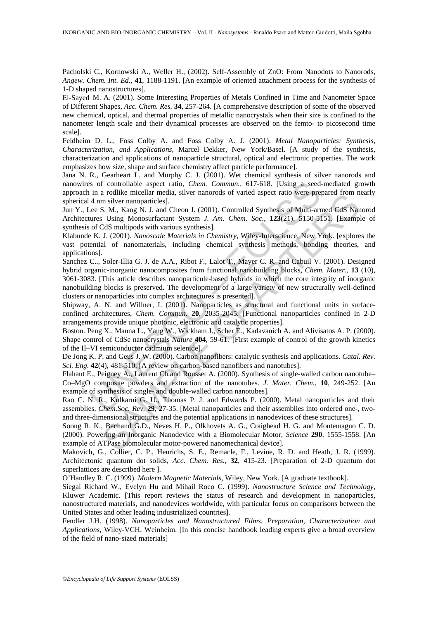Pacholski C., Kornowski A., Weller H., (2002). Self-Assembly of ZnO: From Nanodots to Nanorods, *Angew. Chem. Int. Ed*., **41**, 1188-1191. [An example of oriented attachment process for the synthesis of 1-D shaped nanostructures].

El-Sayed M. A. (2001). Some Interesting Properties of Metals Confined in Time and Nanometer Space of Different Shapes, *Acc. Chem. Res.* **34**, 257-264. [A comprehensive description of some of the observed new chemical, optical, and thermal properties of metallic nanocrystals when their size is confined to the nanometer length scale and their dynamical processes are observed on the femto- to picosecond time scale].

Feldheim D. L., Foss Colby A. and Foss Colby A. J. (2001). *Metal Nanoparticles: Synthesis, Characterization, and Applications*, Marcel Dekker, New York/Basel. [A study of the synthesis, characterization and applications of nanoparticle structural, optical and electronic properties. The work emphasizes how size, shape and surface chemistry affect particle performance].

Jana N. R., Gearheart L. and Murphy C. J. (2001). Wet chemical synthesis of silver nanorods and nanowires of controllable aspect ratio, *Chem. Commun.*, 617-618. [Using a seed-mediated growth approach in a rodlike micellar media, silver nanorods of varied aspect ratio were prepared from nearly spherical 4 nm silver nanoparticles].

Jun Y., Lee S. M., Kang N. J. and Cheon J. (2001). Controlled Synthesis of Multi-armed CdS Nanorod Architectures Using Monosurfactant System *J. Am. Chem. Soc.*, **123**(21), 5150-5151. [Example of synthesis of CdS multipods with various synthesis].

Klabunde K. J. (2001). *Nanoscale Materials in Chemistry*, Wiley-Interscience, New York. [explores the vast potential of nanomaterials, including chemical synthesis methods, bonding theories, and applications].

s of controllable aspect ratio, *Chem. Commun.*, 617-618. [Using a seed<br>in a rodike micellar readia, silver nanorods of varied aspect ratio were pret<br>4 am silver nanoparticles].<br>e.e S. M., Kang N. J. and Cheon J. (2001). C is other emerge in tensor<br>and Solution and Tomagnetics and Chemental means the spectrator witer analytic and CHAP and CHAP and CHAP and CHAP and CHAP and CHAP and CHAP and CHAP and CHAP and CHAP and CHAP and and of nanomet Sanchez C.., Soler-Illia G. J. de A.A., Ribot F., Lalot T., Mayer C. R. and Cabuil V. (2001). Designed hybrid organic-inorganic nanocomposites from functional nanobuilding blocks, *Chem. Mater.*, **13** (10), 3061-3083. [This article describes nanoparticule-based hybrids in which the core integrity of inorganic nanobuilding blocks is preserved. The development of a large variety of new structurally well-defined clusters or nanoparticles into complex architectures is presented].

Shipway, A. N. and Willner, I. (2001). Nanoparticles as structural and functional units in surfaceconfined architectures, *Chem. Commun.* **20**, 2035-2045. [Functional nanoparticles confined in 2-D arrangements provide unique photonic, electronic and catalytic properties].

Boston. Peng X., Manna L., Yang W., Wickham J., Scher E., Kadavanich A. and Alivisatos A. P. (2000). Shape control of CdSe nanocrystals *Nature* **404**, 59-61. [First example of control of the growth kinetics of the II–VI semiconductor cadmium selenide].

De Jong K. P. and Geus J. W. (2000). Carbon nanofibers: catalytic synthesis and applications. *Catal. Rev. Sci. Eng.* **42**(4), 481-510. [A review on carbon-based nanofibers and nanotubes].

Flahaut E., Peigney A., Laurent Ch.and Rousset A. (2000). Synthesis of single-walled carbon nanotube– Co–MgO composite powders and extraction of the nanotubes. *J. Mater. Chem.*, **10**, 249-252. [An example of synthesis of single- and double-walled carbon nanotubes].

Rao C. N. R., Kulkarni G. U., Thomas P. J. and Edwards P. (2000). Metal nanoparticles and their assemblies, *Chem.Soc. Rev.* **29**, 27-35. [Metal nanoparticles and their assemblies into ordered one-, twoand three-dimensional structures and the potential applications in nanodevices of these structures].

Soong R. K., Bachand G.D., Neves H. P., Olkhovets A. G., Craighead H. G. and Montemagno C. D. (2000). Powering an Inorganic Nanodevice with a Biomolecular Motor, *Science* **290**, 1555-1558. [An example of ATPase biomolecular motor-powered nanomechanical device].

Makovich, G., Collier, C. P., Henrichs, S. E., Remacle, F., Levine, R. D. and Heath, J. R. (1999). Architectonic quantum dot solids, *Acc. Chem. Res.*, **32**, 415-23. [Preparation of 2-D quantum dot superlattices are described here ].

O'Handley R. C. (1999). *Modern Magnetic Materials*, Wiley, New York. [A graduate textbook].

Siegal Richard W., Evelyn Hu and Mihail Roco C. (1999). *Nanostructure Science and Technology*, Kluwer Academic. [This report reviews the status of research and development in nanoparticles, nanostructured materials, and nanodevices worldwide, with particular focus on comparisons between the United States and other leading industrialized countries].

Fendler J.H. (1998). *Nanoparticles and Nanostructured Films. Preparation, Characterization and Applications*, Wiley-VCH, Weinheim. [In this concise handbook leading experts give a broad overview of the field of nano-sized materials]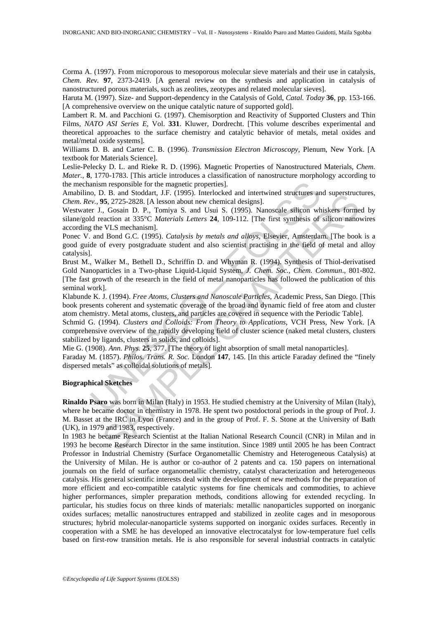Corma A. (1997). From microporous to mesoporous molecular sieve materials and their use in catalysis, *Chem. Rev.* **97**, 2373-2419. [A general review on the synthesis and application in catalysis of nanostructured porous materials, such as zeolites, zeotypes and related molecular sieves].

Haruta M. (1997). Size- and Support-dependency in the Catalysis of Gold, *Catal. Today* **36**, pp. 153-166. [A comprehensive overview on the unique catalytic nature of supported gold].

Lambert R. M. and Pacchioni G. (1997). Chemisorption and Reactivity of Supported Clusters and Thin Films, *NATO ASI Series E*, Vol. **331**. Kluwer, Dordrecht. [This volume describes experimental and theoretical approaches to the surface chemistry and catalytic behavior of metals, metal oxides and metal/metal oxide systems].

Williams D. B. and Carter C. B. (1996). *Transmission Electron Microscopy*, Plenum, New York. [A textbook for Materials Science].

Leslie-Pelecky D. L. and Rieke R. D. (1996). Magnetic Properties of Nanostructured Materials, *Chem. Mater.*, **8**, 1770-1783. [This article introduces a classification of nanostructure morphology according to the mechanism responsible for the magnetic properties].

Amabilino, D. B. and Stoddart, J.F. (1995). Interlocked and intertwined structures and superstructures, *Chem. Rev.*, **95**, 2725-2828. [A lesson about new chemical designs].

Westwater J., Gosain D. P., Tomiya S. and Usui S. (1995). Nanoscale silicon whiskers formed by silane/gold reaction at 335°C *Materials Letters* **24**, 109-112. [The first synthesis of silicon nanowires according the VLS mechanism].

Ponec V. and Bond G.C. (1995). *Catalysis by metals and alloys*, Elsevier, Amsterdam. [The book is a good guide of every postgraduate student and also scientist practising in the field of metal and alloy catalysis].

anism responsible for the magnetic properties].<br>
o., D. B. and Stoddart, J.F. (1995). Interlocked and intertwined structures an<br>
o., D. B. and Stoddart, J.F. (1995). Narothed designs].<br>
ethe V.S. Srechanism].<br>
It also a an Brust M., Walker M., Bethell D., Schriffin D. and Whyman R. (1994). Synthesis of Thiol-derivatised Gold Nanoparticles in a Two-phase Liquid-Liquid System, *J. Chem. Soc., Chem. Commun*., 801-802. [The fast growth of the research in the field of metal nanoparticles has followed the publication of this seminal work].

Klabunde K. J. (1994). *Free Atoms, Clusters and Nanoscale Particles*, Academic Press, San Diego. [This book presents coherent and systematic coverage of the broad and dynamic field of free atom and cluster atom chemistry. Metal atoms, clusters, and particles are covered in sequence with the Periodic Table].

Schmid G. (1994). *Clusters and Colloids: From Theory to Applications*, VCH Press, New York. [A comprehensive overview of the rapidly developing field of cluster science (naked metal clusters, clusters stabilized by ligands, clusters in solids, and colloids].

Mie G. (1908). *Ann. Phys.* **25**, 377. [The theory of light absorption of small metal nanoparticles].

Faraday M. (1857). *Philos. Trans. R. Soc.* London **147**, 145. [In this article Faraday defined the "finely dispersed metals" as colloidal solutions of metals].

#### **Biographical Sketches**

**5.** a. and Soludart, J.r. (1995). Interlocked and metrivaled simulation is such as the section of the RG in 1995). The state of the RG in Equation is 35°C Materials Letters 24, 109-112. [The first synthesis of silicon na **Rinaldo Psaro** was born in Milan (Italy) in 1953. He studied chemistry at the University of Milan (Italy), where he became doctor in chemistry in 1978. He spent two postdoctoral periods in the group of Prof. J. M. Basset at the IRC in Lyon (France) and in the group of Prof. F. S. Stone at the University of Bath (UK), in 1979 and 1983, respectively.

In 1983 he became Research Scientist at the Italian National Research Council (CNR) in Milan and in 1993 he become Research Director in the same institution. Since 1989 until 2005 he has been Contract Professor in Industrial Chemistry (Surface Organometallic Chemistry and Heterogeneous Catalysis) at the University of Milan. He is author or co-author of 2 patents and ca. 150 papers on international journals on the field of surface organometallic chemistry, catalyst characterization and heterogeneous catalysis. His general scientific interests deal with the development of new methods for the preparation of more efficient and eco-compatible catalytic systems for fine chemicals and commodities, to achieve higher performances, simpler preparation methods, conditions allowing for extended recycling. In particular, his studies focus on three kinds of materials: metallic nanoparticles supported on inorganic oxides surfaces; metallic nanostructures entrapped and stabilized in zeolite cages and in mesoporous structures; hybrid molecular-nanoparticle systems supported on inorganic oxides surfaces. Recently in cooperation with a SME he has developed an innovative electrocatalyst for low-temperature fuel cells based on first-row transition metals. He is also responsible for several industrial contracts in catalytic